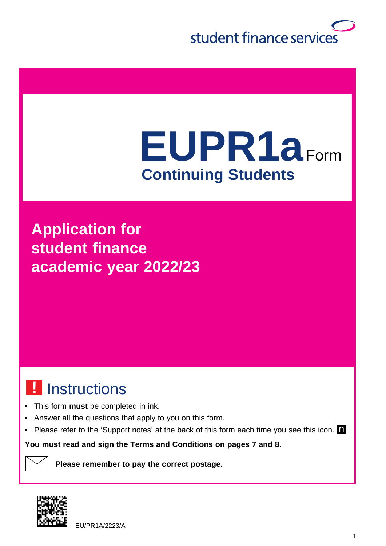

# **EUPR1a**Form **Continuing Students**

**Application for student finance academic year 2022/23**

# Instructions **!**

- This form **must** be completed in ink.
- Answer all the questions that apply to you on this form.
- Please refer to the 'Support notes' at the back of this form each time you see this icon.

**You must read and sign the Terms and Conditions on pages 7 and 8.**

**Please remember to pay the correct postage.**



EU/PR1A/2223/A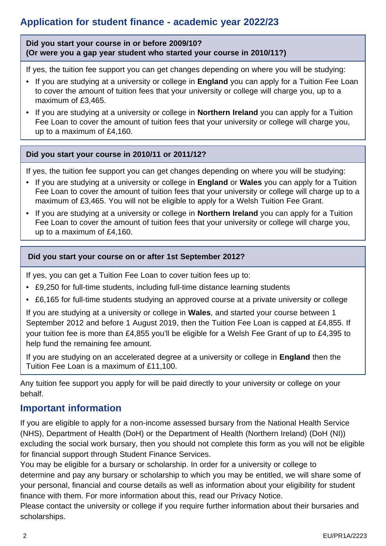### **Application for student finance - academic year 2022/23**

**Did you start your course in or before 2009/10? (Or were you a gap year student who started your course in 2010/11?)**

If yes, the tuition fee support you can get changes depending on where you will be studying:

- If you are studying at a university or college in **England** you can apply for a Tuition Fee Loan to cover the amount of tuition fees that your university or college will charge you, up to a maximum of £3,465.
- If you are studying at a university or college in **Northern Ireland** you can apply for a Tuition Fee Loan to cover the amount of tuition fees that your university or college will charge you, up to a maximum of £4,160.

#### **Did you start your course in 2010/11 or 2011/12?**

If yes, the tuition fee support you can get changes depending on where you will be studying:

- If you are studying at a university or college in **England** or **Wales** you can apply for a Tuition Fee Loan to cover the amount of tuition fees that your university or college will charge up to a maximum of £3,465. You will not be eligible to apply for a Welsh Tuition Fee Grant.
- If you are studying at a university or college in **Northern Ireland** you can apply for a Tuition Fee Loan to cover the amount of tuition fees that your university or college will charge you, up to a maximum of £4,160.

#### **Did you start your course on or after 1st September 2012?**

If yes, you can get a Tuition Fee Loan to cover tuition fees up to:

- £9,250 for full-time students, including full-time distance learning students
- £6,165 for full-time students studying an approved course at a private university or college

If you are studying at a university or college in **Wales**, and started your course between 1 September 2012 and before 1 August 2019, then the Tuition Fee Loan is capped at £4,855. If your tuition fee is more than £4,855 you'll be eligible for a Welsh Fee Grant of up to £4,395 to help fund the remaining fee amount.

 If you are studying on an accelerated degree at a university or college in **England** then the Tuition Fee Loan is a maximum of £11,100.

Any tuition fee support you apply for will be paid directly to your university or college on your behalf.

#### **Important information**

If you are eligible to apply for a non-income assessed bursary from the National Health Service (NHS), Department of Health (DoH) or the Department of Health (Northern Ireland) (DoH (NI)) excluding the social work bursary, then you should not complete this form as you will not be eligible for financial support through Student Finance Services.

You may be eligible for a bursary or scholarship. In order for a university or college to determine and pay any bursary or scholarship to which you may be entitled, we will share some of your personal, financial and course details as well as information about your eligibility for student finance with them. For more information about this, read our Privacy Notice.

Please contact the university or college if you require further information about their bursaries and scholarships.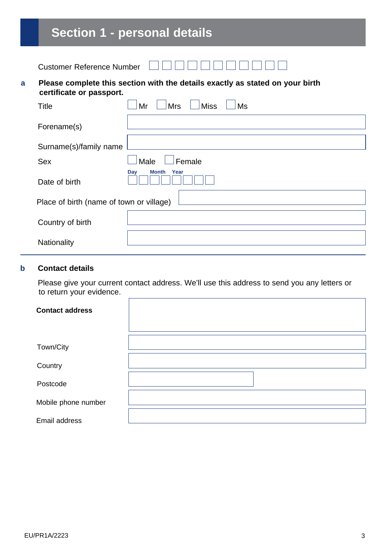# **Section 1 - personal details**

|--|

#### **a Please complete this section with the details exactly as stated on your birth certificate or passport.**

| Title                                    | <b>Miss</b><br><b>Mrs</b><br>Ms<br>Mr |
|------------------------------------------|---------------------------------------|
| Forename(s)                              |                                       |
| Surname(s)/family name                   |                                       |
| Sex                                      | Female<br>Male                        |
| Date of birth                            | Day<br><b>Month</b><br>Year           |
| Place of birth (name of town or village) |                                       |
| Country of birth                         |                                       |
| Nationality                              |                                       |

#### **b Contact details**

Please give your current contact address. We'll use this address to send you any letters or to return your evidence.

| <b>Contact address</b> |  |
|------------------------|--|
|                        |  |
| Town/City              |  |
| Country                |  |
| Postcode               |  |
| Mobile phone number    |  |
| Email address          |  |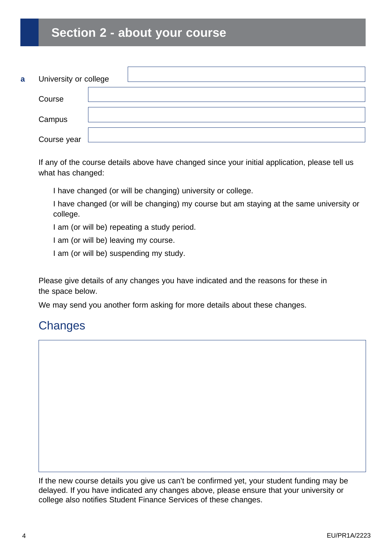# **Section 2 - about your course**

| a | University or college |  |
|---|-----------------------|--|
|   | Course                |  |
|   | Campus                |  |
|   | Course year           |  |

If any of the course details above have changed since your initial application, please tell us what has changed:

I have changed (or will be changing) university or college.

I have changed (or will be changing) my course but am staying at the same university or college.

I am (or will be) repeating a study period.

I am (or will be) leaving my course.

I am (or will be) suspending my study.

Please give details of any changes you have indicated and the reasons for these in the space below.

We may send you another form asking for more details about these changes.

### **Changes**

If the new course details you give us can't be confirmed yet, your student funding may be delayed. If you have indicated any changes above, please ensure that your university or college also notifies Student Finance Services of these changes.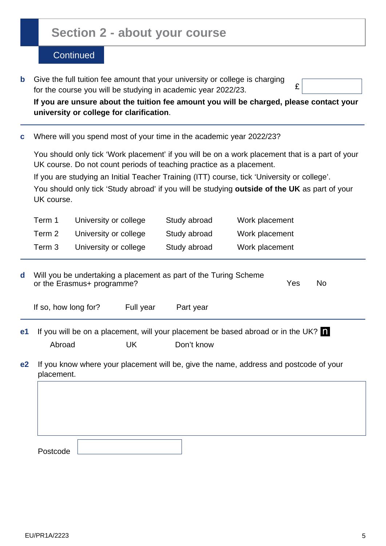## **Section 2 - about your course**

#### **Continued**

**b** Give the full tuition fee amount that your university or college is charging for the course you will be studying in academic year 2022/23.

£

 **If you are unsure about the tuition fee amount you will be charged, please contact your university or college for clarification**.

**c** Where will you spend most of your time in the academic year 2022/23?

 You should only tick 'Work placement' if you will be on a work placement that is a part of your UK course. Do not count periods of teaching practice as a placement.

If you are studying an Initial Teacher Training (ITT) course, tick 'University or college'.

 You should only tick 'Study abroad' if you will be studying **outside of the UK** as part of your UK course.

| Term 1 | University or college | Study abroad | Work placement |
|--------|-----------------------|--------------|----------------|
| Term 2 | University or college | Study abroad | Work placement |
| Term 3 | University or college | Study abroad | Work placement |

| d              | Will you be undertaking a placement as part of the Turing Scheme<br>or the Erasmus+ programme?      |           |            | Yes | No. |
|----------------|-----------------------------------------------------------------------------------------------------|-----------|------------|-----|-----|
|                | If so, how long for?                                                                                | Full year | Part year  |     |     |
| e1             | If you will be on a placement, will your placement be based abroad or in the UK?                    |           |            |     |     |
|                | Abroad                                                                                              | UK.       | Don't know |     |     |
| e <sub>2</sub> | If you know where your placement will be, give the name, address and postcode of your<br>placement. |           |            |     |     |
|                |                                                                                                     |           |            |     |     |
|                |                                                                                                     |           |            |     |     |
|                |                                                                                                     |           |            |     |     |

Postcode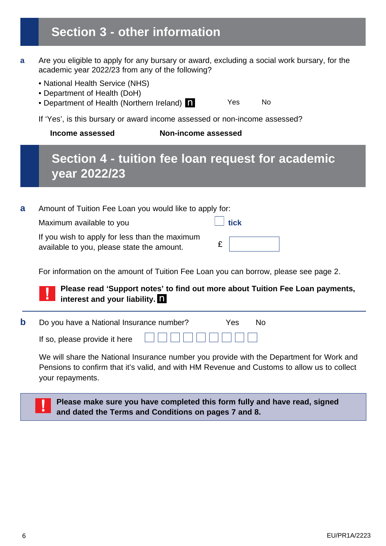# **Section 3 - other information**

- **a** Are you eligible to apply for any bursary or award, excluding a social work bursary, for the academic year 2022/23 from any of the following?
	- National Health Service (NHS)
	- Department of Health (DoH)
	- Department of Health (Northern Ireland)

Yes No

If 'Yes', is this bursary or award income assessed or non-income assessed?

 **Income assessed Non-income assessed**

# **Section 4 - tuition fee loan request for academic year 2022/23**

| a | Amount of Tuition Fee Loan you would like to apply for:                                      |      |
|---|----------------------------------------------------------------------------------------------|------|
|   | Maximum available to you                                                                     | tick |
|   | If you wish to apply for less than the maximum<br>available to you, please state the amount. |      |

For information on the amount of Tuition Fee Loan you can borrow, please see page 2.

#### **Please read 'Support notes' to find out more about Tuition Fee Loan payments, interest and your liability.**

| <b>b</b> Do you have a National Insurance number? |                              | Yes: | – No |
|---------------------------------------------------|------------------------------|------|------|
| If so, please provide it here                     | <u> E E E E E E E E E E </u> |      |      |

We will share the National Insurance number you provide with the Department for Work and Pensions to confirm that it's valid, and with HM Revenue and Customs to allow us to collect your repayments.

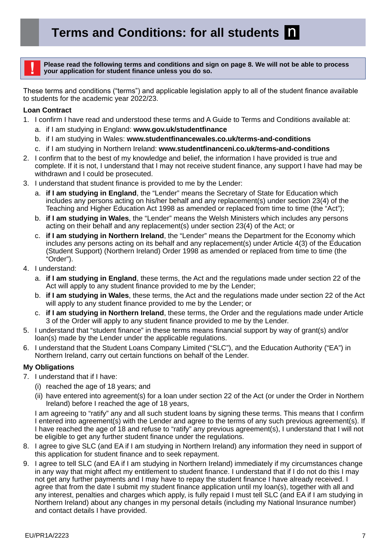**Please read the following terms and conditions and sign on page 8. We will not be able to process your application for student finance unless you do so.** 

These terms and conditions ("terms") and applicable legislation apply to all of the student finance available to students for the academic year 2022/23.

#### **Loan Contract**

- 1. I confirm I have read and understood these terms and A Guide to Terms and Conditions available at:
	- a. if I am studying in England: **[www.gov.uk/studentfinance](http://www.gov.uk/studentfinance)**
	- b. if I am studying in Wales: **[www.studentfinancewales.co.uk/terms-and-conditions](http://www.studentfinancewales.co.uk/terms-and-conditions)**
	- c. if I am studying in Northern Ireland: **[www.studentfinanceni.co.uk/terms-and-conditions](http://www.studentfinanceni.co.uk/terms-and-conditions)**
- 2. I confirm that to the best of my knowledge and belief, the information I have provided is true and complete. If it is not, I understand that I may not receive student finance, any support I have had may be withdrawn and I could be prosecuted.
- 3. I understand that student finance is provided to me by the Lender:
	- a. **if I am studying in England**, the "Lender" means the Secretary of State for Education which includes any persons acting on his/her behalf and any replacement(s) under section 23(4) of the Teaching and Higher Education Act 1998 as amended or replaced from time to time (the "Act");
	- b. **if I am studying in Wales**, the "Lender" means the Welsh Ministers which includes any persons acting on their behalf and any replacement(s) under section 23(4) of the Act; or
	- c. **if I am studying in Northern Ireland**, the "Lender" means the Department for the Economy which includes any persons acting on its behalf and any replacement(s) under Article 4(3) of the Education (Student Support) (Northern Ireland) Order 1998 as amended or replaced from time to time (the "Order").
- 4. I understand:
	- a. **if I am studying in England**, these terms, the Act and the regulations made under section 22 of the Act will apply to any student finance provided to me by the Lender;
	- b. **if I am studying in Wales**, these terms, the Act and the regulations made under section 22 of the Act will apply to any student finance provided to me by the Lender; or
	- c. **if I am studying in Northern Ireland**, these terms, the Order and the regulations made under Article 3 of the Order will apply to any student finance provided to me by the Lender.
- 5. I understand that "student finance" in these terms means financial support by way of grant(s) and/or loan(s) made by the Lender under the applicable regulations.
- 6. I understand that the Student Loans Company Limited ("SLC"), and the Education Authority ("EA") in Northern Ireland, carry out certain functions on behalf of the Lender.

#### **My Obligations**

- 7. I understand that if I have:
	- (i) reached the age of 18 years; and
	- (ii) have entered into agreement(s) for a loan under section 22 of the Act (or under the Order in Northern Ireland) before I reached the age of 18 years,

I am agreeing to "ratify" any and all such student loans by signing these terms. This means that I confirm I entered into agreement(s) with the Lender and agree to the terms of any such previous agreement(s). If I have reached the age of 18 and refuse to "ratify" any previous agreement(s), I understand that I will not be eligible to get any further student finance under the regulations.

- 8. I agree to give SLC (and EA if I am studying in Northern Ireland) any information they need in support of this application for student finance and to seek repayment.
- 9. I agree to tell SLC (and EA if I am studying in Northern Ireland) immediately if my circumstances change in any way that might affect my entitlement to student finance. I understand that if I do not do this I may not get any further payments and I may have to repay the student finance I have already received. I agree that from the date I submit my student finance application until my loan(s), together with all and any interest, penalties and charges which apply, is fully repaid I must tell SLC (and EA if I am studying in Northern Ireland) about any changes in my personal details (including my National Insurance number) and contact details I have provided.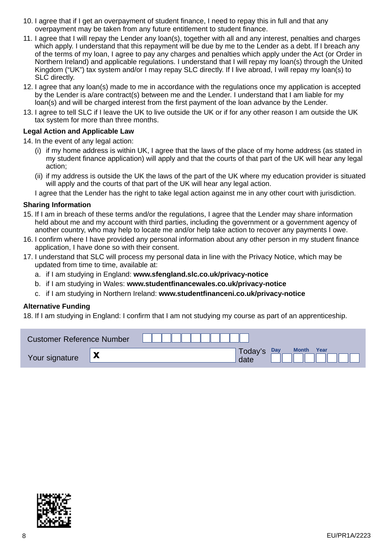- 10. I agree that if I get an overpayment of student finance, I need to repay this in full and that any overpayment may be taken from any future entitlement to student finance.
- 11. I agree that I will repay the Lender any loan(s), together with all and any interest, penalties and charges which apply. I understand that this repayment will be due by me to the Lender as a debt. If I breach any of the terms of my loan, I agree to pay any charges and penalties which apply under the Act (or Order in Northern Ireland) and applicable regulations. I understand that I will repay my loan(s) through the United Kingdom ("UK") tax system and/or I may repay SLC directly. If I live abroad, I will repay my loan(s) to SLC directly.
- 12. I agree that any loan(s) made to me in accordance with the regulations once my application is accepted by the Lender is a/are contract(s) between me and the Lender. I understand that I am liable for my loan(s) and will be charged interest from the first payment of the loan advance by the Lender.
- 13. I agree to tell SLC if I leave the UK to live outside the UK or if for any other reason I am outside the UK tax system for more than three months.

#### **Legal Action and Applicable Law**

14. In the event of any legal action:

- (i) if my home address is within UK, I agree that the laws of the place of my home address (as stated in my student finance application) will apply and that the courts of that part of the UK will hear any legal action;
- (ii) if my address is outside the UK the laws of the part of the UK where my education provider is situated will apply and the courts of that part of the UK will hear any legal action.

I agree that the Lender has the right to take legal action against me in any other court with jurisdiction.

#### **Sharing Information**

- 15. If I am in breach of these terms and/or the regulations, I agree that the Lender may share information held about me and my account with third parties, including the government or a government agency of another country, who may help to locate me and/or help take action to recover any payments I owe.
- 16. I confirm where I have provided any personal information about any other person in my student finance application, I have done so with their consent.
- 17. I understand that SLC will process my personal data in line with the Privacy Notice, which may be updated from time to time, available at:
	- a. if I am studying in England: **www.sfengland.slc.co.uk/privacy-notice**
	- b. if I am studying in Wales: **www.studentfinancewales.co.uk/privacy-notice**
	- c. if I am studying in Northern Ireland: **www.studentfinanceni.co.uk/privacy-notice**

#### **Alternative Funding**

18. If I am studying in England: I confirm that I am not studying my course as part of an apprenticeship.

| <b>Customer Reference Number</b> |                            |                                                |
|----------------------------------|----------------------------|------------------------------------------------|
| Your signature                   | $\boldsymbol{\mathcal{N}}$ | Year<br><b>Month</b><br>Day<br>Today's<br>date |

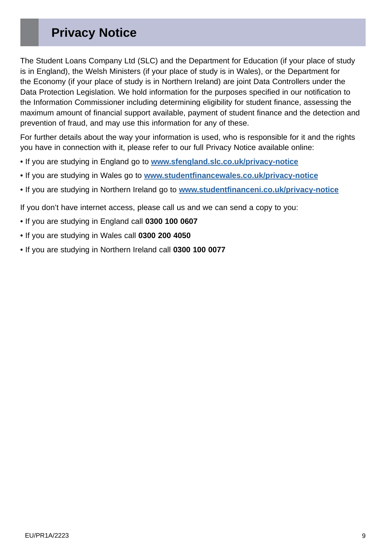# **Privacy Notice**

The Student Loans Company Ltd (SLC) and the Department for Education (if your place of study is in England), the Welsh Ministers (if your place of study is in Wales), or the Department for the Economy (if your place of study is in Northern Ireland) are joint Data Controllers under the Data Protection Legislation. We hold information for the purposes specified in our notification to the Information Commissioner including determining eligibility for student finance, assessing the maximum amount of financial support available, payment of student finance and the detection and prevention of fraud, and may use this information for any of these.

For further details about the way your information is used, who is responsible for it and the rights you have in connection with it, please refer to our full Privacy Notice available online:

- If you are studying in England go to **[www.sfengland.slc.co.uk/privacy-notice](http://www.sfengland.slc.co.uk/privacy-notice)**
- If you are studying in Wales go to **[www.studentfinancewales.co.uk/privacy-notice](http://www.studentfinancewales.co.uk/privacy-notice )**
- If you are studying in Northern Ireland go to **[www.studentfinanceni.co.uk/privacy-notice](http://www.studentfinanceni.co.uk/privacy-notice)**

If you don't have internet access, please call us and we can send a copy to you:

- If you are studying in England call **0300 100 0607**
- If you are studying in Wales call **0300 200 4050**
- If you are studying in Northern Ireland call **0300 100 0077**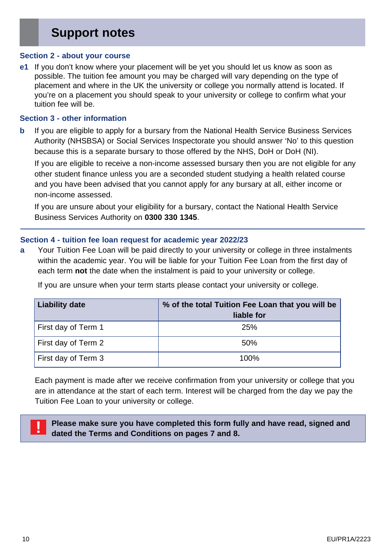# **Support notes**

#### **Section 2 - about your course**

**e1** If you don't know where your placement will be yet you should let us know as soon as possible. The tuition fee amount you may be charged will vary depending on the type of placement and where in the UK the university or college you normally attend is located. If you're on a placement you should speak to your university or college to confirm what your tuition fee will be.

#### **Section 3 - other information**

**b** If you are eligible to apply for a bursary from the National Health Service Business Services Authority (NHSBSA) or Social Services Inspectorate you should answer 'No' to this question because this is a separate bursary to those offered by the NHS, DoH or DoH (NI).

If you are eligible to receive a non-income assessed bursary then you are not eligible for any other student finance unless you are a seconded student studying a health related course and you have been advised that you cannot apply for any bursary at all, either income or non-income assessed.

If you are unsure about your eligibility for a bursary, contact the National Health Service Business Services Authority on **0300 330 1345**.

#### **Section 4 - tuition fee loan request for academic year 2022/23**

**a** Your Tuition Fee Loan will be paid directly to your university or college in three instalments within the academic year. You will be liable for your Tuition Fee Loan from the first day of each term not the date when the instalment is paid to your university or college.

If you are unsure when your term starts please contact your university or college.

| <b>Liability date</b> | % of the total Tuition Fee Loan that you will be<br>liable for |
|-----------------------|----------------------------------------------------------------|
| First day of Term 1   | 25%                                                            |
| First day of Term 2   | 50%                                                            |
| First day of Term 3   | 100%                                                           |

Each payment is made after we receive confirmation from your university or college that you are in attendance at the start of each term. Interest will be charged from the day we pay the Tuition Fee Loan to your university or college.



**! Please make sure you have completed this form fully and have read, signed and dated the Terms and Conditions on pages 7 and 8.**